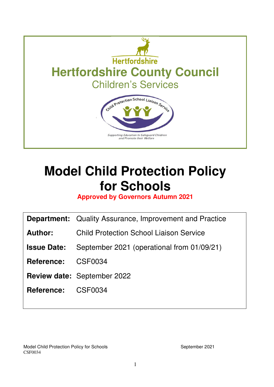

# **Model Child Protection Policy for Schools**

**Approved by Governors Autumn 2021** 

|                    | <b>Department:</b> Quality Assurance, Improvement and Practice |  |  |
|--------------------|----------------------------------------------------------------|--|--|
| Author:            | <b>Child Protection School Liaison Service</b>                 |  |  |
| <b>Issue Date:</b> | September 2021 (operational from 01/09/21)                     |  |  |
| <b>Reference:</b>  | CSF0034                                                        |  |  |
|                    | <b>Review date: September 2022</b>                             |  |  |
| <b>Reference:</b>  | CSF0034                                                        |  |  |
|                    |                                                                |  |  |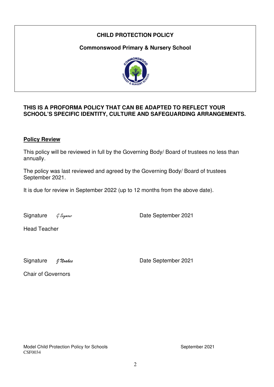# **CHILD PROTECTION POLICY**

**Commonswood Primary & Nursery School** 



# **THIS IS A PROFORMA POLICY THAT CAN BE ADAPTED TO REFLECT YOUR SCHOOL'S SPECIFIC IDENTITY, CULTURE AND SAFEGUARDING ARRANGEMENTS.**

#### **Policy Review**

This policy will be reviewed in full by the Governing Body/ Board of trustees no less than annually.

The policy was last reviewed and agreed by the Governing Body/ Board of trustees September 2021.

It is due for review in September 2022 (up to 12 months from the above date).

Signature G Seymour Contract Contract Contract Date September 2021

Head Teacher

Signature *J Noakes* Date September 2021

Chair of Governors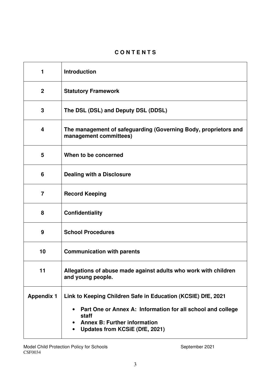# **C O N T E N T S**

| 1                       | <b>Introduction</b>                                                                                                                                                              |  |
|-------------------------|----------------------------------------------------------------------------------------------------------------------------------------------------------------------------------|--|
| $\mathbf{2}$            | <b>Statutory Framework</b>                                                                                                                                                       |  |
| 3                       | The DSL (DSL) and Deputy DSL (DDSL)                                                                                                                                              |  |
| $\overline{\mathbf{4}}$ | The management of safeguarding (Governing Body, proprietors and<br>management committees)                                                                                        |  |
| 5                       | When to be concerned                                                                                                                                                             |  |
| 6                       | <b>Dealing with a Disclosure</b>                                                                                                                                                 |  |
| $\overline{7}$          | <b>Record Keeping</b>                                                                                                                                                            |  |
| 8                       | <b>Confidentiality</b>                                                                                                                                                           |  |
| 9                       | <b>School Procedures</b>                                                                                                                                                         |  |
| 10                      | <b>Communication with parents</b>                                                                                                                                                |  |
| 11                      | Allegations of abuse made against adults who work with children<br>and young people.                                                                                             |  |
| <b>Appendix 1</b>       | Link to Keeping Children Safe in Education (KCSIE) DfE, 2021<br>Part One or Annex A: Information for all school and college<br>٠<br>staff<br><b>Annex B: Further information</b> |  |
|                         | Updates from KCSiE (DfE, 2021)                                                                                                                                                   |  |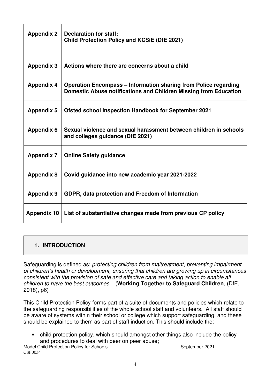| <b>Appendix 2</b>  | <b>Declaration for staff:</b><br><b>Child Protection Policy and KCSIE (DfE 2021)</b>                                                       |
|--------------------|--------------------------------------------------------------------------------------------------------------------------------------------|
| <b>Appendix 3</b>  | Actions where there are concerns about a child                                                                                             |
| <b>Appendix 4</b>  | <b>Operation Encompass – Information sharing from Police regarding</b><br>Domestic Abuse notifications and Children Missing from Education |
| <b>Appendix 5</b>  | <b>Ofsted school Inspection Handbook for September 2021</b>                                                                                |
| <b>Appendix 6</b>  | Sexual violence and sexual harassment between children in schools<br>and colleges quidance (DfE 2021)                                      |
| <b>Appendix 7</b>  | <b>Online Safety guidance</b>                                                                                                              |
| <b>Appendix 8</b>  | Covid guidance into new academic year 2021-2022                                                                                            |
| <b>Appendix 9</b>  | GDPR, data protection and Freedom of Information                                                                                           |
| <b>Appendix 10</b> | List of substantiative changes made from previous CP policy                                                                                |

# **1. INTRODUCTION**

Safeguarding is defined as: protecting children from maltreatment, preventing impairment of children's health or development, ensuring that children are growing up in circumstances consistent with the provision of safe and effective care and taking action to enable all children to have the best outcomes. (**Working Together to Safeguard Children**, (DfE, 2018), p6)

This Child Protection Policy forms part of a suite of documents and policies which relate to the safeguarding responsibilities of the whole school staff and volunteers. All staff should be aware of systems within their school or college which support safeguarding, and these should be explained to them as part of staff induction. This should include the:

• child protection policy, which should amongst other things also include the policy and procedures to deal with peer on peer abuse;

Model Child Protection Policy for Schools **September 2021** September 2021 CSF0034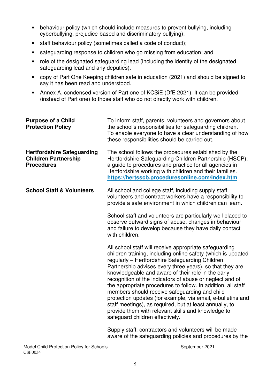- behaviour policy (which should include measures to prevent bullying, including cyberbullying, prejudice-based and discriminatory bullying);
- staff behaviour policy (sometimes called a code of conduct);
- safeguarding response to children who go missing from education; and
- role of the designated safeguarding lead (including the identity of the designated safeguarding lead and any deputies).
- copy of Part One Keeping children safe in education (2021) and should be signed to say it has been read and understood.
- Annex A, condensed version of Part one of KCSiE (DfE 2021). It can be provided (instead of Part one) to those staff who do not directly work with children.

| <b>Purpose of a Child</b><br><b>Protection Policy</b>                                 | To inform staff, parents, volunteers and governors about<br>the school's responsibilities for safeguarding children.<br>To enable everyone to have a clear understanding of how<br>these responsibilities should be carried out.                                                                                                                                                                                                                                                                                                                                                                                                                                                            |  |
|---------------------------------------------------------------------------------------|---------------------------------------------------------------------------------------------------------------------------------------------------------------------------------------------------------------------------------------------------------------------------------------------------------------------------------------------------------------------------------------------------------------------------------------------------------------------------------------------------------------------------------------------------------------------------------------------------------------------------------------------------------------------------------------------|--|
| <b>Hertfordshire Safeguarding</b><br><b>Children Partnership</b><br><b>Procedures</b> | The school follows the procedures established by the<br>Hertfordshire Safeguarding Children Partnership (HSCP);<br>a guide to procedures and practice for all agencies in<br>Hertfordshire working with children and their families.<br>https://hertsscb.proceduresonline.com/index.htm                                                                                                                                                                                                                                                                                                                                                                                                     |  |
| <b>School Staff &amp; Volunteers</b>                                                  | All school and college staff, including supply staff,<br>volunteers and contract workers have a responsibility to<br>provide a safe environment in which children can learn.                                                                                                                                                                                                                                                                                                                                                                                                                                                                                                                |  |
|                                                                                       | School staff and volunteers are particularly well placed to<br>observe outward signs of abuse, changes in behaviour<br>and failure to develop because they have daily contact<br>with children.                                                                                                                                                                                                                                                                                                                                                                                                                                                                                             |  |
|                                                                                       | All school staff will receive appropriate safeguarding<br>children training, including online safety (which is updated<br>regularly - Hertfordshire Safeguarding Children<br>Partnership advises every three years), so that they are<br>knowledgeable and aware of their role in the early<br>recognition of the indicators of abuse or neglect and of<br>the appropriate procedures to follow. In addition, all staff<br>members should receive safeguarding and child<br>protection updates (for example, via email, e-bulletins and<br>staff meetings), as required, but at least annually, to<br>provide them with relevant skills and knowledge to<br>safeguard children effectively. |  |
|                                                                                       | Supply staff, contractors and volunteers will be made                                                                                                                                                                                                                                                                                                                                                                                                                                                                                                                                                                                                                                       |  |

aware of the safeguarding policies and procedures by the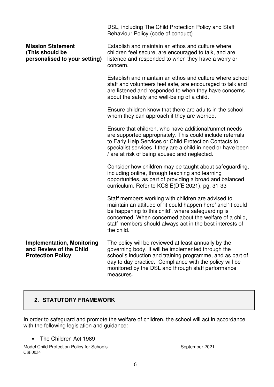|                                                                                          | DSL, including The Child Protection Policy and Staff<br>Behaviour Policy (code of conduct)                                                                                                                                                                                                                    |  |
|------------------------------------------------------------------------------------------|---------------------------------------------------------------------------------------------------------------------------------------------------------------------------------------------------------------------------------------------------------------------------------------------------------------|--|
| <b>Mission Statement</b><br>(This should be<br>personalised to your setting)             | Establish and maintain an ethos and culture where<br>children feel secure, are encouraged to talk, and are<br>listened and responded to when they have a worry or<br>concern.                                                                                                                                 |  |
|                                                                                          | Establish and maintain an ethos and culture where school<br>staff and volunteers feel safe, are encouraged to talk and<br>are listened and responded to when they have concerns<br>about the safety and well-being of a child.                                                                                |  |
|                                                                                          | Ensure children know that there are adults in the school<br>whom they can approach if they are worried.                                                                                                                                                                                                       |  |
|                                                                                          | Ensure that children, who have additional/unmet needs<br>are supported appropriately. This could include referrals<br>to Early Help Services or Child Protection Contacts to<br>specialist services if they are a child in need or have been<br>/ are at risk of being abused and neglected.                  |  |
|                                                                                          | Consider how children may be taught about safeguarding,<br>including online, through teaching and learning<br>opportunities, as part of providing a broad and balanced<br>curriculum. Refer to KCSiE(DfE 2021), pg. 31-33                                                                                     |  |
|                                                                                          | Staff members working with children are advised to<br>maintain an attitude of 'it could happen here' and 'it could<br>be happening to this child', where safeguarding is<br>concerned. When concerned about the welfare of a child,<br>staff members should always act in the best interests of<br>the child. |  |
| <b>Implementation, Monitoring</b><br>and Review of the Child<br><b>Protection Policy</b> | The policy will be reviewed at least annually by the<br>governing body. It will be implemented through the<br>school's induction and training programme, and as part of<br>day to day practice. Compliance with the policy will be<br>monitored by the DSL and through staff performance<br>measures.         |  |

#### **2. STATUTORY FRAMEWORK**

In order to safeguard and promote the welfare of children, the school will act in accordance with the following legislation and guidance:

• The Children Act 1989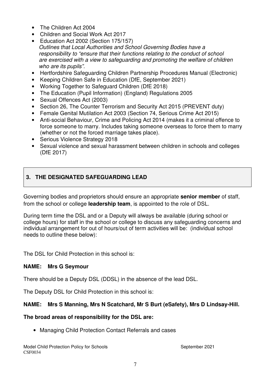- The Children Act 2004
- Children and Social Work Act 2017
- Education Act 2002 (Section 175/157) Outlines that Local Authorities and School Governing Bodies have a responsibility to "ensure that their functions relating to the conduct of school are exercised with a view to safeguarding and promoting the welfare of children who are its pupils".
- Hertfordshire Safeguarding Children Partnership Procedures Manual (Electronic)
- Keeping Children Safe in Education (DfE, September 2021)
- Working Together to Safeguard Children (DfE 2018)
- The Education (Pupil Information) (England) Regulations 2005
- Sexual Offences Act (2003)
- Section 26, The Counter Terrorism and Security Act 2015 (PREVENT duty)
- Female Genital Mutilation Act 2003 (Section 74, Serious Crime Act 2015)
- Anti-social Behaviour, Crime and Policing Act 2014 (makes it a criminal offence to force someone to marry. Includes taking someone overseas to force them to marry (whether or not the forced marriage takes place).
- **Serious Violence Strategy 2018**
- Sexual violence and sexual harassment between children in schools and colleges (DfE 2017)

# **3. THE DESIGNATED SAFEGUARDING LEAD**

Governing bodies and proprietors should ensure an appropriate **senior member** of staff, from the school or college **leadership team**, is appointed to the role of DSL.

During term time the DSL and or a Deputy will always be available (during school or college hours) for staff in the school or college to discuss any safeguarding concerns and individual arrangement for out of hours/out of term activities will be: (individual school needs to outline these below):

The DSL for Child Protection in this school is:

#### **NAME: Mrs G Seymour**

There should be a Deputy DSL (DDSL) in the absence of the lead DSL.

The Deputy DSL for Child Protection in this school is:

# **NAME: Mrs S Manning, Mrs N Scatchard, Mr S Burt (eSafety), Mrs D Lindsay-Hill.**

# **The broad areas of responsibility for the DSL are:**

• Managing Child Protection Contact Referrals and cases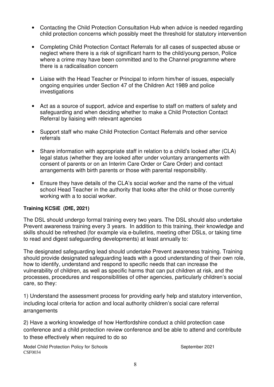- Contacting the Child Protection Consultation Hub when advice is needed regarding child protection concerns which possibly meet the threshold for statutory intervention
- Completing Child Protection Contact Referrals for all cases of suspected abuse or neglect where there is a risk of significant harm to the child/young person, Police where a crime may have been committed and to the Channel programme where there is a radicalisation concern
- Liaise with the Head Teacher or Principal to inform him/her of issues, especially ongoing enquiries under Section 47 of the Children Act 1989 and police investigations
- Act as a source of support, advice and expertise to staff on matters of safety and safeguarding and when deciding whether to make a Child Protection Contact Referral by liaising with relevant agencies
- Support staff who make Child Protection Contact Referrals and other service referrals
- Share information with appropriate staff in relation to a child's looked after (CLA) legal status (whether they are looked after under voluntary arrangements with consent of parents or on an Interim Care Order or Care Order) and contact arrangements with birth parents or those with parental responsibility.
- Ensure they have details of the CLA's social worker and the name of the virtual school Head Teacher in the authority that looks after the child or those currently working with a to social worker.

#### **Training KCSiE (DfE, 2021)**

The DSL should undergo formal training every two years. The DSL should also undertake Prevent awareness training every 3 years. In addition to this training, their knowledge and skills should be refreshed (for example via e-bulletins, meeting other DSLs, or taking time to read and digest safeguarding developments) at least annually to:

The designated safeguarding lead should undertake Prevent awareness training. Training should provide designated safeguarding leads with a good understanding of their own role, how to identify, understand and respond to specific needs that can increase the vulnerability of children, as well as specific harms that can put children at risk, and the processes, procedures and responsibilities of other agencies, particularly children's social care, so they:

1) Understand the assessment process for providing early help and statutory intervention, including local criteria for action and local authority children's social care referral arrangements

2) Have a working knowledge of how Hertfordshire conduct a child protection case conference and a child protection review conference and be able to attend and contribute to these effectively when required to do so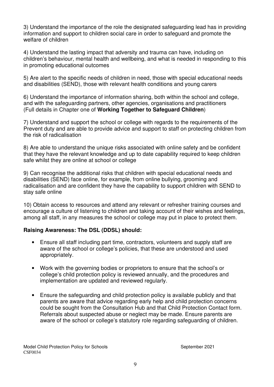3) Understand the importance of the role the designated safeguarding lead has in providing information and support to children social care in order to safeguard and promote the welfare of children

4) Understand the lasting impact that adversity and trauma can have, including on children's behaviour, mental health and wellbeing, and what is needed in responding to this in promoting educational outcomes

5) Are alert to the specific needs of children in need, those with special educational needs and disabilities (SEND), those with relevant health conditions and young carers

6) Understand the importance of information sharing, both within the school and college, and with the safeguarding partners, other agencies, organisations and practitioners (Full details in Chapter one of **Working Together to Safeguard Children**)

7) Understand and support the school or college with regards to the requirements of the Prevent duty and are able to provide advice and support to staff on protecting children from the risk of radicalisation

8) Are able to understand the unique risks associated with online safety and be confident that they have the relevant knowledge and up to date capability required to keep children safe whilst they are online at school or college

9) Can recognise the additional risks that children with special educational needs and disabilities (SEND) face online, for example, from online bullying, grooming and radicalisation and are confident they have the capability to support children with SEND to stay safe online

10) Obtain access to resources and attend any relevant or refresher training courses and encourage a culture of listening to children and taking account of their wishes and feelings, among all staff, in any measures the school or college may put in place to protect them.

# **Raising Awareness: The DSL (DDSL) should:**

- Ensure all staff including part time, contractors, volunteers and supply staff are aware of the school or college's policies, that these are understood and used appropriately.
- Work with the governing bodies or proprietors to ensure that the school's or college's child protection policy is reviewed annually, and the procedures and implementation are updated and reviewed regularly.
- Ensure the safeguarding and child protection policy is available publicly and that parents are aware that advice regarding early help and child protection concerns could be sought from the Consultation Hub and that Child Protection Contact form. Referrals about suspected abuse or neglect may be made. Ensure parents are aware of the school or college's statutory role regarding safeguarding of children.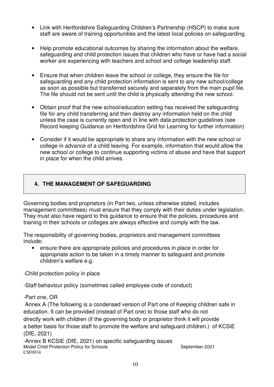- Link with Hertfordshire Safeguarding Children's Partnership (HSCP) to make sure staff are aware of training opportunities and the latest local policies on safeguarding.
- Help promote educational outcomes by sharing the information about the welfare, safeguarding and child protection issues that children who have or have had a social worker are experiencing with teachers and school and college leadership staff.
- Ensure that when children leave the school or college, they ensure the file for safeguarding and any child protection information is sent to any new school/college as soon as possible but transferred securely and separately from the main pupil file. The file should not be sent until the child is physically attending the new school.
- Obtain proof that the new school/education setting has received the safeguarding file for any child transferring and then destroy any information held on the child unless the case is currently open and in line with data protection guidelines (see Record keeping Guidance on Hertfordshire Grid for Learning for further information)
- Consider if it would be appropriate to share any information with the new school or college in advance of a child leaving. For example, information that would allow the new school or college to continue supporting victims of abuse and have that support in place for when the child arrives.

# **4. THE MANAGEMENT OF SAFEGUARDING**

Governing bodies and proprietors (in Part two, unless otherwise stated, includes management committees) must ensure that they comply with their duties under legislation. They must also have regard to this guidance to ensure that the policies, procedures and training in their schools or colleges are always effective and comply with the law.

The responsibility of governing bodies, proprietors and management committees include:

• ensure there are appropriate policies and procedures in place in order for appropriate action to be taken in a timely manner to safeguard and promote children's welfare e.g.

-Child protection policy in place

-Staff behaviour policy (sometimes called employee code of conduct)

-Part one, OR

 Annex A (The following is a condensed version of Part one of Keeping children safe in education. It can be provided (instead of Part one) to those staff who do not directly work with children (if the governing body or proprietor think it will provide a better basis for those staff to promote the welfare and safeguard children.) of KCSiE (DfE, 2021)

Model Child Protection Policy for Schools September 2021 CSF0034 -Annex B KCSIE (DfE, 2021) on specific safeguarding issues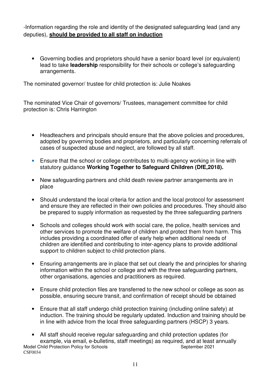-Information regarding the role and identity of the designated safeguarding lead (and any deputies), **should be provided to all staff on induction** 

• Governing bodies and proprietors should have a senior board level (or equivalent) lead to take **leadership** responsibility for their schools or college's safeguarding arrangements.

The nominated governor/ trustee for child protection is: Julie Noakes

The nominated Vice Chair of governors/ Trustees, management committee for child protection is: Chris Harrington

- Headteachers and principals should ensure that the above policies and procedures, adopted by governing bodies and proprietors, and particularly concerning referrals of cases of suspected abuse and neglect, are followed by all staff.
- Ensure that the school or college contributes to multi-agency working in line with statutory guidance **Working Together to Safeguard Children (DfE,2018).**
- New safeguarding partners and child death review partner arrangements are in place
- Should understand the local criteria for action and the local protocol for assessment and ensure they are reflected in their own policies and procedures. They should also be prepared to supply information as requested by the three safeguarding partners
- Schools and colleges should work with social care, the police, health services and other services to promote the welfare of children and protect them from harm. This includes providing a coordinated offer of early help when additional needs of children are identified and contributing to inter-agency plans to provide additional support to children subject to child protection plans.
- Ensuring arrangements are in place that set out clearly the and principles for sharing information within the school or college and with the three safeguarding partners, other organisations, agencies and practitioners as required.
- Ensure child protection files are transferred to the new school or college as soon as possible, ensuring secure transit, and confirmation of receipt should be obtained
- Ensure that all staff undergo child protection training (including online safety) at induction. The training should be regularly updated. Induction and training should be in line with advice from the local three safeguarding partners (HSCP) 3 years.
- Model Child Protection Policy for Schools September 2021 CSF0034 • All staff should receive regular safeguarding and child protection updates (for example, via email, e-bulletins, staff meetings) as required, and at least annually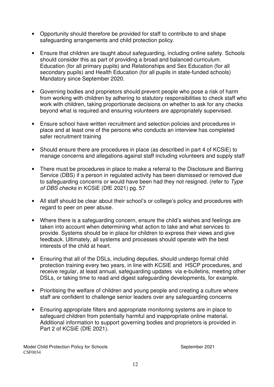- Opportunity should therefore be provided for staff to contribute to and shape safeguarding arrangements and child protection policy.
- Ensure that children are taught about safeguarding, including online safety. Schools should consider this as part of providing a broad and balanced curriculum. Education (for all primary pupils) and Relationships and Sex Education (for all secondary pupils) and Health Education (for all pupils in state-funded schools) Mandatory since September 2020.
- Governing bodies and proprietors should prevent people who pose a risk of harm from working with children by adhering to statutory responsibilities to check staff who work with children, taking proportionate decisions on whether to ask for any checks beyond what is required and ensuring volunteers are appropriately supervised.
- Ensure school have written recruitment and selection policies and procedures in place and at least one of the persons who conducts an interview has completed safer recruitment training
- Should ensure there are procedures in place (as described in part 4 of KCSiE) to manage concerns and allegations against staff including volunteers and supply staff
- There must be procedures in place to make a referral to the Disclosure and Barring Service (DBS) if a person in regulated activity has been dismissed or removed due to safeguarding concerns or would have been had they not resigned. (refer to Type of DBS checks in KCSiE (DfE 2021) pg. 57
- All staff should be clear about their school's or college's policy and procedures with regard to peer on peer abuse.
- Where there is a safeguarding concern, ensure the child's wishes and feelings are taken into account when determining what action to take and what services to provide. Systems should be in place for children to express their views and give feedback. Ultimately, all systems and processes should operate with the best interests of the child at heart.
- Ensuring that all of the DSLs, including deputies, should undergo formal child protection training every two years, in line with KCSIE and HSCP procedures, and receive regular, at least annual, safeguarding updates via e-bulletins, meeting other DSLs, or taking time to read and digest safeguarding developments, for example.
- Prioritising the welfare of children and young people and creating a culture where staff are confident to challenge senior leaders over any safeguarding concerns
- Ensuring appropriate filters and appropriate monitoring systems are in place to safeguard children from potentially harmful and inappropriate online material. Additional information to support governing bodies and proprietors is provided in Part 2 of KCSiE (DfE 2021).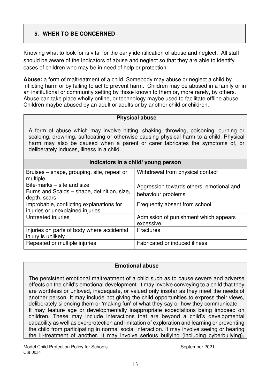# **5. WHEN TO BE CONCERNED**

Knowing what to look for is vital for the early identification of abuse and neglect. All staff should be aware of the Indicators of abuse and neglect so that they are able to identify cases of children who may be in need of help or protection.

**Abuse:** a form of maltreatment of a child. Somebody may abuse or neglect a child by inflicting harm or by failing to act to prevent harm. Children may be abused in a family or in an institutional or community setting by those known to them or, more rarely, by others. Abuse can take place wholly online, or technology maybe used to facilitate offline abuse. Children maybe abused by an adult or adults or by another child or children.

#### **Physical abuse**

A form of abuse which may involve hitting, shaking, throwing, poisoning, burning or scalding, drowning, suffocating or otherwise causing physical harm to a child. Physical harm may also be caused when a parent or carer fabricates the symptoms of, or deliberately induces, illness in a child.

| Indicators in a child/ young person                                                       |                                                                |  |  |
|-------------------------------------------------------------------------------------------|----------------------------------------------------------------|--|--|
| Bruises – shape, grouping, site, repeat or<br>multiple                                    | Withdrawal from physical contact                               |  |  |
| Bite-marks – site and size<br>Burns and Scalds – shape, definition, size,<br>depth, scars | Aggression towards others, emotional and<br>behaviour problems |  |  |
| Improbable, conflicting explanations for<br>injuries or unexplained injuries              | Frequently absent from school                                  |  |  |
| Untreated injuries                                                                        | Admission of punishment which appears<br>excessive             |  |  |
| Injuries on parts of body where accidental<br>injury is unlikely                          | <b>Fractures</b>                                               |  |  |

Repeated or multiple injuries Fabricated or induced illness

#### **Emotional abuse**

The persistent emotional maltreatment of a child such as to cause severe and adverse effects on the child's emotional development. It may involve conveying to a child that they are worthless or unloved, inadequate, or valued only insofar as they meet the needs of another person. It may include not giving the child opportunities to express their views, deliberately silencing them or 'making fun' of what they say or how they communicate. It may feature age or developmentally inappropriate expectations being imposed on children. These may include interactions that are beyond a child's developmental capability as well as overprotection and limitation of exploration and learning or preventing the child from participating in normal social interaction. It may involve seeing or hearing the ill-treatment of another. It may involve serious bullying (including cyberbullying),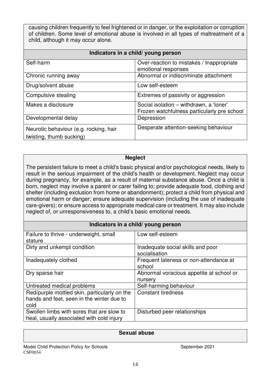causing children frequently to feel frightened or in danger, or the exploitation or corruption of children. Some level of emotional abuse is involved in all types of maltreatment of a child, although it may occur alone.

| Indicators in a child/ young person                                |                                                                                        |  |  |
|--------------------------------------------------------------------|----------------------------------------------------------------------------------------|--|--|
| Self-harm                                                          | Over-reaction to mistakes / Inappropriate<br>emotional responses                       |  |  |
| Chronic running away                                               | Abnormal or indiscriminate attachment                                                  |  |  |
| Drug/solvent abuse                                                 | Low self-esteem                                                                        |  |  |
| Compulsive stealing                                                | Extremes of passivity or aggression                                                    |  |  |
| Makes a disclosure                                                 | Social isolation - withdrawn, a 'loner'<br>Frozen watchfulness particularly pre school |  |  |
| Developmental delay                                                | Depression                                                                             |  |  |
| Neurotic behaviour (e.g. rocking, hair<br>twisting, thumb sucking) | Desperate attention-seeking behaviour                                                  |  |  |

#### **Neglect**

The persistent failure to meet a child's basic physical and/or psychological needs, likely to result in the serious impairment of the child's health or development. Neglect may occur during pregnancy, for example, as a result of maternal substance abuse. Once a child is born, neglect may involve a parent or carer failing to: provide adequate food, clothing and shelter (including exclusion from home or abandonment); protect a child from physical and emotional harm or danger; ensure adequate supervision (including the use of inadequate care-givers); or ensure access to appropriate medical care or treatment. It may also include neglect of, or unresponsiveness to, a child's basic emotional needs.

#### **Indicators in a child/ young person**

| Failure to thrive - underweight, small       | Low self-esteem                          |  |
|----------------------------------------------|------------------------------------------|--|
| stature                                      |                                          |  |
|                                              |                                          |  |
| Dirty and unkempt condition                  | Inadequate social skills and poor        |  |
|                                              | socialisation                            |  |
| Inadequately clothed                         | Frequent lateness or non-attendance at   |  |
|                                              | school                                   |  |
| Dry sparse hair                              | Abnormal voracious appetite at school or |  |
|                                              |                                          |  |
|                                              | nursery                                  |  |
| Untreated medical problems                   | Self-harming behaviour                   |  |
| Red/purple mottled skin, particularly on the | <b>Constant tiredness</b>                |  |
| hands and feet, seen in the winter due to    |                                          |  |
| cold                                         |                                          |  |
|                                              |                                          |  |
| Swollen limbs with sores that are slow to    | Disturbed peer relationships             |  |
| heal, usually associated with cold injury    |                                          |  |

#### **Sexual abuse**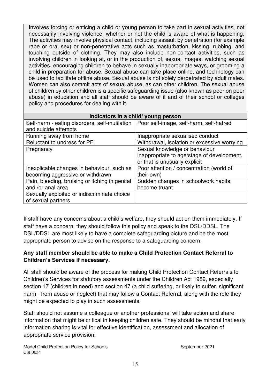Involves forcing or enticing a child or young person to take part in sexual activities, not necessarily involving violence, whether or not the child is aware of what is happening. The activities may involve physical contact, including assault by penetration (for example rape or oral sex) or non-penetrative acts such as masturbation, kissing, rubbing, and touching outside of clothing. They may also include non-contact activities, such as involving children in looking at, or in the production of, sexual images, watching sexual activities, encouraging children to behave in sexually inappropriate ways, or grooming a child in preparation for abuse. Sexual abuse can take place online, and technology can be used to facilitate offline abuse. Sexual abuse is not solely perpetrated by adult males. Women can also commit acts of sexual abuse, as can other children. The sexual abuse of children by other children is a specific safeguarding issue (also known as peer on peer abuse) in education and all staff should be aware of it and of their school or colleges policy and procedures for dealing with it.

| Indicators in a child/ young person                                                     |                                             |  |  |
|-----------------------------------------------------------------------------------------|---------------------------------------------|--|--|
| Self-harm - eating disorders, self-mutilation   Poor self-image, self-harm, self-hatred |                                             |  |  |
| and suicide attempts                                                                    |                                             |  |  |
| Running away from home                                                                  | Inappropriate sexualised conduct            |  |  |
| Reluctant to undress for PE                                                             | Withdrawal, isolation or excessive worrying |  |  |
| Pregnancy                                                                               | Sexual knowledge or behaviour               |  |  |
|                                                                                         | inappropriate to age/stage of development,  |  |  |
|                                                                                         | or that is unusually explicit               |  |  |
| Inexplicable changes in behaviour, such as                                              | Poor attention / concentration (world of    |  |  |
| becoming aggressive or withdrawn                                                        | their own)                                  |  |  |
| Pain, bleeding, bruising or itching in genital                                          | Sudden changes in schoolwork habits,        |  |  |
| and /or anal area                                                                       | become truant                               |  |  |
| Sexually exploited or indiscriminate choice                                             |                                             |  |  |
| of sexual partners                                                                      |                                             |  |  |

If staff have any concerns about a child's welfare, they should act on them immediately. If staff have a concern, they should follow this policy and speak to the DSL/DDSL. The DSL/DDSL are most likely to have a complete safeguarding picture and be the most appropriate person to advise on the response to a safeguarding concern.

#### **Any staff member should be able to make a Child Protection Contact Referral to Children's Services if necessary.**

All staff should be aware of the process for making Child Protection Contact Referrals to Children's Services for statutory assessments under the Children Act 1989, especially section 17 (children in need) and section 47 (a child suffering, or likely to suffer, significant harm - from abuse or neglect) that may follow a Contact Referral, along with the role they might be expected to play in such assessments.

Staff should not assume a colleague or another professional will take action and share information that might be critical in keeping children safe. They should be mindful that early information sharing is vital for effective identification, assessment and allocation of appropriate service provision.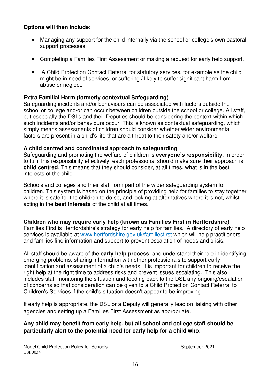#### **Options will then include:**

- Managing any support for the child internally via the school or college's own pastoral support processes.
- Completing a Families First Assessment or making a request for early help support.
- A Child Protection Contact Referral for statutory services, for example as the child might be in need of services, or suffering / likely to suffer significant harm from abuse or neglect.

#### **Extra Familial Harm (formerly contextual Safeguarding)**

Safeguarding incidents and/or behaviours can be associated with factors outside the school or college and/or can occur between children outside the school or college. All staff, but especially the DSLs and their Deputies should be considering the context within which such incidents and/or behaviours occur. This is known as contextual safeguarding, which simply means assessments of children should consider whether wider environmental factors are present in a child's life that are a threat to their safety and/or welfare.

#### **A child centred and coordinated approach to safeguarding**

Safeguarding and promoting the welfare of children is **everyone's responsibility.** In order to fulfil this responsibility effectively, each professional should make sure their approach is **child centred**. This means that they should consider, at all times, what is in the best interests of the child.

Schools and colleges and their staff form part of the wider safeguarding system for children. This system is based on the principle of providing help for families to stay together where it is safe for the children to do so, and looking at alternatives where it is not, whilst acting in the **best interests** of the child at all times.

#### **Children who may require early help (known as Families First in Hertfordshire)**

Families First is Hertfordshire's strategy for early help for families. A directory of early help services is available at www.hertfordshire.gov.uk/familiesfirst which will help practitioners and families find information and support to prevent escalation of needs and crisis.

All staff should be aware of the **early help process**, and understand their role in identifying emerging problems, sharing information with other professionals to support early identification and assessment of a child's needs. It is important for children to receive the right help at the right time to address risks and prevent issues escalating. This also includes staff monitoring the situation and feeding back to the DSL any ongoing/escalation of concerns so that consideration can be given to a Child Protection Contact Referral to Children's Services if the child's situation doesn't appear to be improving.

If early help is appropriate, the DSL or a Deputy will generally lead on liaising with other agencies and setting up a Families First Assessment as appropriate.

#### **Any child may benefit from early help, but all school and college staff should be particularly alert to the potential need for early help for a child who:**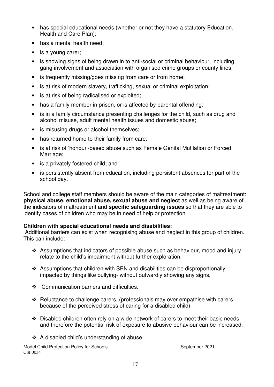- has special educational needs (whether or not they have a statutory Education, Health and Care Plan);
- has a mental health need;
- is a young carer;
- is showing signs of being drawn in to anti-social or criminal behaviour, including gang involvement and association with organised crime groups or county lines;
- is frequently missing/goes missing from care or from home;
- is at risk of modern slavery, trafficking, sexual or criminal exploitation;
- is at risk of being radicalised or exploited;
- has a family member in prison, or is affected by parental offending;
- is in a family circumstance presenting challenges for the child, such as drug and alcohol misuse, adult mental health issues and domestic abuse;
- is misusing drugs or alcohol themselves;
- has returned home to their family from care;
- is at risk of 'honour'-based abuse such as Female Genital Mutilation or Forced Marriage:
- is a privately fostered child; and
- is persistently absent from education, including persistent absences for part of the school day.

School and college staff members should be aware of the main categories of maltreatment: **physical abuse, emotional abuse, sexual abuse and neglect** as well as being aware of the indicators of maltreatment and **specific safeguarding issues** so that they are able to identify cases of children who may be in need of help or protection.

#### **Children with special educational needs and disabilities:**

Additional barriers can exist when recognising abuse and neglect in this group of children. This can include:

- Assumptions that indicators of possible abuse such as behaviour, mood and injury relate to the child's impairment without further exploration.
- Assumptions that children with SEN and disabilities can be disproportionally impacted by things like bullying- without outwardly showing any signs.
- Communication barriers and difficulties.
- $\cdot$  Reluctance to challenge carers, (professionals may over empathise with carers because of the perceived stress of caring for a disabled child).
- $\div$  Disabled children often rely on a wide network of carers to meet their basic needs and therefore the potential risk of exposure to abusive behaviour can be increased.
- $\div$  A disabled child's understanding of abuse.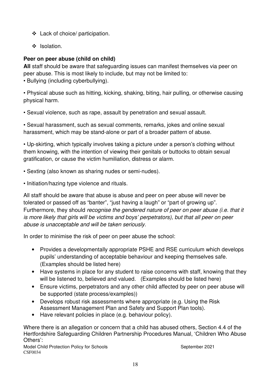- Lack of choice/ participation.
- ❖ Isolation.

## **Peer on peer abuse (child on child)**

**All** staff should be aware that safeguarding issues can manifest themselves via peer on peer abuse. This is most likely to include, but may not be limited to:

• Bullying (including cyberbullying).

• Physical abuse such as hitting, kicking, shaking, biting, hair pulling, or otherwise causing physical harm.

• Sexual violence, such as rape, assault by penetration and sexual assault.

• Sexual harassment, such as sexual comments, remarks, jokes and online sexual harassment, which may be stand-alone or part of a broader pattern of abuse.

• Up-skirting, which typically involves taking a picture under a person's clothing without them knowing, with the intention of viewing their genitals or buttocks to obtain sexual gratification, or cause the victim humiliation, distress or alarm.

- Sexting (also known as sharing nudes or semi-nudes).
- Initiation/hazing type violence and rituals.

All staff should be aware that abuse is abuse and peer on peer abuse will never be tolerated or passed off as "banter", "just having a laugh" or "part of growing up". Furthermore, they should recognise the gendered nature of peer on peer abuse (i.e. that it is more likely that girls will be victims and boys' perpetrators), but that all peer on peer abuse is unacceptable and will be taken seriously.

In order to minimise the risk of peer on peer abuse the school:

- Provides a developmentally appropriate PSHE and RSE curriculum which develops pupils' understanding of acceptable behaviour and keeping themselves safe. (Examples should be listed here)
- Have systems in place for any student to raise concerns with staff, knowing that they will be listened to, believed and valued. (Examples should be listed here)
- Ensure victims, perpetrators and any other child affected by peer on peer abuse will be supported (state process/examples))
- Develops robust risk assessments where appropriate (e.g. Using the Risk Assessment Management Plan and Safety and Support Plan tools).
- Have relevant policies in place (e.g. behaviour policy).

Where there is an allegation or concern that a child has abused others, Section 4.4 of the Hertfordshire Safeguarding Children Partnership Procedures Manual, 'Children Who Abuse Others':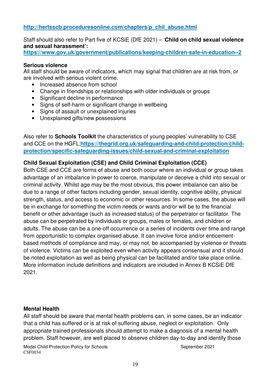#### **http://hertsscb.proceduresonline.com/chapters/p\_chil\_abuse.html**

Staff should also refer to Part five of KCSiE (DfE 2021) – '**Child on child sexual violence and sexual harassment':**

**https://www.gov.uk/government/publications/keeping-children-safe-in-education--2**

#### **Serious violence**

All staff should be aware of indicators, which may signal that children are at risk from, or are involved with serious violent crime.

- Increased absence from school
- Change in friendships or relationships with older individuals or groups
- Significant decline in performance
- Signs of self-harm or significant change in wellbeing
- Signs of assault or unexplained injuries
- Unexplained gifts/new possessions

Also refer to **Schools Toolkit** the characteristics of young peoples' vulnerability to CSE and CCE on the HGFL;**https://thegrid.org.uk/safeguarding-and-child-protection/childprotection/specific-safeguarding-issues/child-sexual-and-criminal-exploitation**

#### **Child Sexual Exploitation (CSE) and Child Criminal Exploitation (CCE)**

Both CSE and CCE are forms of abuse and both occur where an individual or group takes advantage of an imbalance in power to coerce, manipulate or deceive a child into sexual or criminal activity. Whilst age may be the most obvious, this power imbalance can also be due to a range of other factors including gender, sexual identity, cognitive ability, physical strength, status, and access to economic or other resources. In some cases, the abuse will be in exchange for something the victim needs or wants and/or will be to the financial benefit or other advantage (such as increased status) of the perpetrator or facilitator. The abuse can be perpetrated by individuals or groups, males or females, and children or adults. The abuse can be a one-off occurrence or a series of incidents over time and range from opportunistic to complex organised abuse. It can involve force and/or enticementbased methods of compliance and may, or may not, be accompanied by violence or threats of violence. Victims can be exploited even when activity appears consensual and it should be noted exploitation as well as being physical can be facilitated and/or take place online. More information include definitions and indicators are included in Annex B KCSiE DfE 2021.

#### **Mental Health**

All staff should be aware that mental health problems can, in some cases, be an indicator that a child has suffered or is at risk of suffering abuse, neglect or exploitation. Only appropriate trained professionals should attempt to make a diagnosis of a mental health problem. Staff however, are well placed to observe children day-to-day and identify those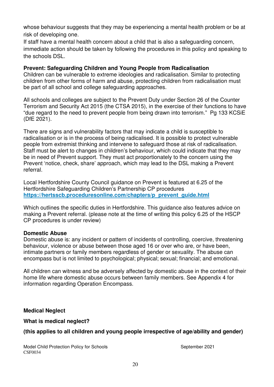whose behaviour suggests that they may be experiencing a mental health problem or be at risk of developing one.

If staff have a mental health concern about a child that is also a safeguarding concern, immediate action should be taken by following the procedures in this policy and speaking to the schools DSL.

#### **Prevent: Safeguarding Children and Young People from Radicalisation**

Children can be vulnerable to extreme ideologies and radicalisation. Similar to protecting children from other forms of harm and abuse, protecting children from radicalisation must be part of all school and college safeguarding approaches.

All schools and colleges are subject to the Prevent Duty under Section 26 of the Counter Terrorism and Security Act 2015 (the CTSA 2015), in the exercise of their functions to have "due regard to the need to prevent people from being drawn into terrorism." Pg 133 KCSiE (DfE 2021).

There are signs and vulnerability factors that may indicate a child is susceptible to radicalisation or is in the process of being radicalised. It is possible to protect vulnerable people from extremist thinking and intervene to safeguard those at risk of radicalisation. Staff must be alert to changes in children's behaviour, which could indicate that they may be in need of Prevent support. They must act proportionately to the concern using the Prevent 'notice, check, share' approach, which may lead to the DSL making a Prevent referral.

Local Hertfordshire County Council guidance on Prevent is featured at 6.25 of the Hertfordshire Safeguarding Children's Partnership CP procedures **https://hertsscb.proceduresonline.com/chapters/p\_prevent\_guide.html**

Which outlines the specific duties in Hertfordshire. This guidance also features advice on making a Prevent referral. (please note at the time of writing this policy 6.25 of the HSCP CP procedures is under review)

#### **Domestic Abuse**

Domestic abuse is: any incident or pattern of incidents of controlling, coercive, threatening behaviour, violence or abuse between those aged 16 or over who are, or have been, intimate partners or family members regardless of gender or sexuality. The abuse can encompass but is not limited to psychological; physical; sexual; financial; and emotional.

All children can witness and be adversely affected by domestic abuse in the context of their home life where domestic abuse occurs between family members. See Appendix 4 for information regarding Operation Encompass.

#### **Medical Neglect**

**What is medical neglect?** 

# **(this applies to all children and young people irrespective of age/ability and gender)**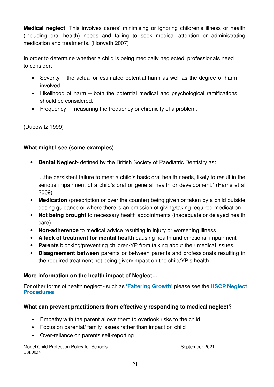**Medical neglect**: This involves carers' minimising or ignoring children's illness or health (including oral health) needs and failing to seek medical attention or administrating medication and treatments. (Horwath 2007)

In order to determine whether a child is being medically neglected, professionals need to consider:

- Severity the actual or estimated potential harm as well as the degree of harm involved.
- Likelihood of harm both the potential medical and psychological ramifications should be considered.
- Frequency measuring the frequency or chronicity of a problem.

(Dubowitz 1999)

# **What might I see (some examples)**

• **Dental Neglect-** defined by the British Society of Paediatric Dentistry as:

'...the persistent failure to meet a child's basic oral health needs, likely to result in the serious impairment of a child's oral or general health or development.' (Harris et al 2009)

- **Medication** (prescription or over the counter) being given or taken by a child outside dosing guidance or where there is an omission of giving/taking required medication.
- **Not being brought** to necessary health appointments (inadequate or delayed health care)
- **Non-adherence** to medical advice resulting in injury or worsening illness
- **A lack of treatment for mental health** causing health and emotional impairment
- **Parents** blocking/preventing children/YP from talking about their medical issues.
- **Disagreement between** parents or between parents and professionals resulting in the required treatment not being given/impact on the child/YP's health.

# **More information on the health impact of Neglect…**

For other forms of health neglect - such as **'Faltering Growth'** please see the **HSCP Neglect Procedures**

# **What can prevent practitioners from effectively responding to medical neglect?**

- Empathy with the parent allows them to overlook risks to the child
- Focus on parental/ family issues rather than impact on child
- Over-reliance on parents self-reporting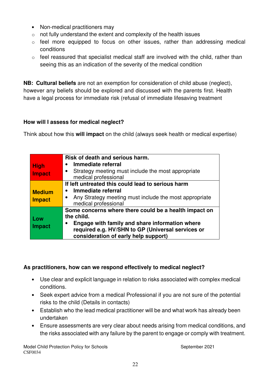- Non-medical practitioners may
- $\circ$  not fully understand the extent and complexity of the health issues
- $\circ$  feel more equipped to focus on other issues, rather than addressing medical conditions
- $\circ$  feel reassured that specialist medical staff are involved with the child, rather than seeing this as an indication of the severity of the medical condition

**NB: Cultural beliefs** are not an exemption for consideration of child abuse (neglect), however any beliefs should be explored and discussed with the parents first. Health have a legal process for immediate risk (refusal of immediate lifesaving treatment

# **How will I assess for medical neglect?**

Think about how this **will impact** on the child (always seek health or medical expertise)

|               | Risk of death and serious harm.                                     |  |  |
|---------------|---------------------------------------------------------------------|--|--|
| <b>High</b>   | Immediate referral                                                  |  |  |
| <b>Impact</b> | Strategy meeting must include the most appropriate<br>$\bullet$     |  |  |
|               | medical professional                                                |  |  |
|               | If left untreated this could lead to serious harm                   |  |  |
| <b>Medium</b> | Immediate referral                                                  |  |  |
| <b>Impact</b> | Any Strategy meeting must include the most appropriate<br>$\bullet$ |  |  |
|               | medical professional                                                |  |  |
|               | Some concerns where there could be a health impact on               |  |  |
| Low           | the child.                                                          |  |  |
|               | Engage with family and share information where                      |  |  |
| <b>Impact</b> | required e.g. HV/SHN to GP (Universal services or                   |  |  |
|               | consideration of early help support)                                |  |  |

#### **As practitioners, how can we respond effectively to medical neglect?**

- Use clear and explicit language in relation to risks associated with complex medical conditions.
- Seek expert advice from a medical Professional if you are not sure of the potential risks to the child (Details in contacts)
- Establish who the lead medical practitioner will be and what work has already been undertaken
- Ensure assessments are very clear about needs arising from medical conditions, and the risks associated with any failure by the parent to engage or comply with treatment.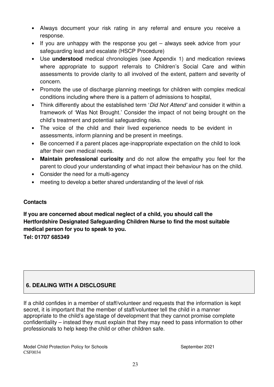- Always document your risk rating in any referral and ensure you receive a response.
- If you are unhappy with the response you get always seek advice from your safeguarding lead and escalate (HSCP Procedure)
- Use **understood** medical chronologies (see Appendix 1) and medication reviews where appropriate to support referrals to Children's Social Care and within assessments to provide clarity to all involved of the extent, pattern and severity of concern.
- Promote the use of discharge planning meetings for children with complex medical conditions including where there is a pattern of admissions to hospital,
- Think differently about the established term 'Did Not Attend' and consider it within a framework of 'Was Not Brought.' Consider the impact of not being brought on the child's treatment and potential safeguarding risks.
- The voice of the child and their lived experience needs to be evident in assessments, inform planning and be present in meetings.
- Be concerned if a parent places age-inappropriate expectation on the child to look after their own medical needs.
- **Maintain professional curiosity** and do not allow the empathy you feel for the parent to cloud your understanding of what impact their behaviour has on the child.
- Consider the need for a multi-agency
- meeting to develop a better shared understanding of the level of risk

# **Contacts**

**If you are concerned about medical neglect of a child, you should call the Hertfordshire Designated Safeguarding Children Nurse to find the most suitable medical person for you to speak to you. Tel: 01707 685349** 

# **6. DEALING WITH A DISCLOSURE**

If a child confides in a member of staff/volunteer and requests that the information is kept secret, it is important that the member of staff/volunteer tell the child in a manner appropriate to the child's age/stage of development that they cannot promise complete confidentiality – instead they must explain that they may need to pass information to other professionals to help keep the child or other children safe.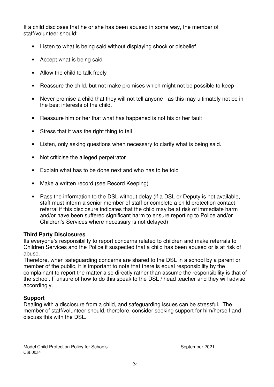If a child discloses that he or she has been abused in some way, the member of staff/volunteer should:

- Listen to what is being said without displaying shock or disbelief
- Accept what is being said
- Allow the child to talk freely
- Reassure the child, but not make promises which might not be possible to keep
- Never promise a child that they will not tell anyone as this may ultimately not be in the best interests of the child.
- Reassure him or her that what has happened is not his or her fault
- Stress that it was the right thing to tell
- Listen, only asking questions when necessary to clarify what is being said.
- Not criticise the alleged perpetrator
- Explain what has to be done next and who has to be told
- Make a written record (see Record Keeping)
- Pass the information to the DSL without delay (if a DSL or Deputy is not available, staff must inform a senior member of staff or complete a child protection contact referral if this disclosure indicates that the child may be at risk of immediate harm and/or have been suffered significant harm to ensure reporting to Police and/or Children's Services where necessary is not delayed)

#### **Third Party Disclosures**

Its everyone's responsibility to report concerns related to children and make referrals to Children Services and the Police if suspected that a child has been abused or is at risk of abuse.

Therefore, when safeguarding concerns are shared to the DSL in a school by a parent or member of the public, it is important to note that there is equal responsibility by the complainant to report the matter also directly rather than assume the responsibility is that of the school. If unsure of how to do this speak to the DSL / head teacher and they will advise accordingly.

#### **Support**

Dealing with a disclosure from a child, and safeguarding issues can be stressful. The member of staff/volunteer should, therefore, consider seeking support for him/herself and discuss this with the DSL.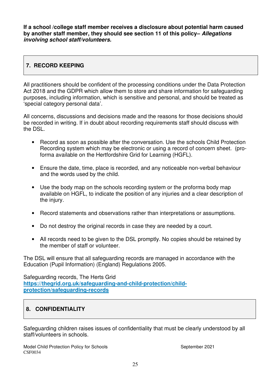**If a school /college staff member receives a disclosure about potential harm caused by another staff member, they should see section 11 of this policy– Allegations involving school staff/volunteers.** 

# **7. RECORD KEEPING**

All practitioners should be confident of the processing conditions under the Data Protection Act 2018 and the GDPR which allow them to store and share information for safeguarding purposes, including information, which is sensitive and personal, and should be treated as 'special category personal data'.

All concerns, discussions and decisions made and the reasons for those decisions should be recorded in writing. If in doubt about recording requirements staff should discuss with the DSL.

- Record as soon as possible after the conversation. Use the schools Child Protection Recording system which may be electronic or using a record of concern sheet. (proforma available on the Hertfordshire Grid for Learning (HGFL).
- Ensure the date, time, place is recorded, and any noticeable non-verbal behaviour and the words used by the child.
- Use the body map on the schools recording system or the proforma body map available on HGFL, to indicate the position of any injuries and a clear description of the injury.
- Record statements and observations rather than interpretations or assumptions.
- Do not destroy the original records in case they are needed by a court.
- All records need to be given to the DSL promptly. No copies should be retained by the member of staff or volunteer.

The DSL will ensure that all safeguarding records are managed in accordance with the Education (Pupil Information) (England) Regulations 2005.

Safeguarding records, The Herts Grid **https://thegrid.org.uk/safeguarding-and-child-protection/childprotection/safeguarding-records**

# **8. CONFIDENTIALITY**

Safeguarding children raises issues of confidentiality that must be clearly understood by all staff/volunteers in schools.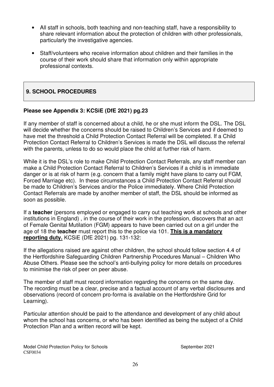- All staff in schools, both teaching and non-teaching staff, have a responsibility to share relevant information about the protection of children with other professionals, particularly the investigative agencies.
- Staff/volunteers who receive information about children and their families in the course of their work should share that information only within appropriate professional contexts.

# **9. SCHOOL PROCEDURES**

#### **Please see Appendix 3: KCSiE (DfE 2021) pg.23**

If any member of staff is concerned about a child, he or she must inform the DSL. The DSL will decide whether the concerns should be raised to Children's Services and if deemed to have met the threshold a Child Protection Contact Referral will be completed. If a Child Protection Contact Referral to Children's Services is made the DSL will discuss the referral with the parents, unless to do so would place the child at further risk of harm.

While it is the DSL's role to make Child Protection Contact Referrals, any staff member can make a Child Protection Contact Referral to Children's Services if a child is in immediate danger or is at risk of harm (e.g. concern that a family might have plans to carry out FGM, Forced Marriage etc). In these circumstances a Child Protection Contact Referral should be made to Children's Services and/or the Police immediately. Where Child Protection Contact Referrals are made by another member of staff, the DSL should be informed as soon as possible.

If a **teacher** (persons employed or engaged to carry out teaching work at schools and other institutions in England) , in the course of their work in the profession, discovers that an act of Female Genital Mutilation (FGM) appears to have been carried out on a girl under the age of 18 the **teacher** must report this to the police via 101. **This is a mandatory reporting duty.** KCSiE (DfE 2021) pg. 131-132:

If the allegations raised are against other children, the school should follow section 4.4 of the Hertfordshire Safeguarding Children Partnership Procedures Manual – Children Who Abuse Others. Please see the school's anti-bullying policy for more details on procedures to minimise the risk of peer on peer abuse.

The member of staff must record information regarding the concerns on the same day. The recording must be a clear, precise and a factual account of any verbal disclosures and observations (record of concern pro-forma is available on the Hertfordshire Grid for Learning).

Particular attention should be paid to the attendance and development of any child about whom the school has concerns, or who has been identified as being the subject of a Child Protection Plan and a written record will be kept.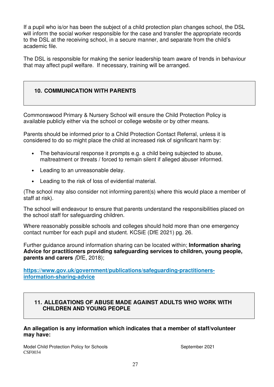If a pupil who is/or has been the subject of a child protection plan changes school, the DSL will inform the social worker responsible for the case and transfer the appropriate records to the DSL at the receiving school, in a secure manner, and separate from the child's academic file.

The DSL is responsible for making the senior leadership team aware of trends in behaviour that may affect pupil welfare. If necessary, training will be arranged.

# **10. COMMUNICATION WITH PARENTS**

Commonswood Primary & Nursery School will ensure the Child Protection Policy is available publicly either via the school or college website or by other means.

Parents should be informed prior to a Child Protection Contact Referral, unless it is considered to do so might place the child at increased risk of significant harm by:

- The behavioural response it prompts e.g. a child being subjected to abuse, maltreatment or threats / forced to remain silent if alleged abuser informed.
- Leading to an unreasonable delay.
- Leading to the risk of loss of evidential material.

(The school may also consider not informing parent(s) where this would place a member of staff at risk).

The school will endeavour to ensure that parents understand the responsibilities placed on the school staff for safeguarding children.

Where reasonably possible schools and colleges should hold more than one emergency contact number for each pupil and student. KCSiE (DfE 2021) pg. 26.

Further guidance around information sharing can be located within; **Information sharing Advice for practitioners providing safeguarding services to children, young people, parents and carers** (DfE, 2018);

**https://www.gov.uk/government/publications/safeguarding-practitionersinformation-sharing-advice**

#### **11. ALLEGATIONS OF ABUSE MADE AGAINST ADULTS WHO WORK WITH CHILDREN AND YOUNG PEOPLE**

#### **An allegation is any information which indicates that a member of staff/volunteer may have:**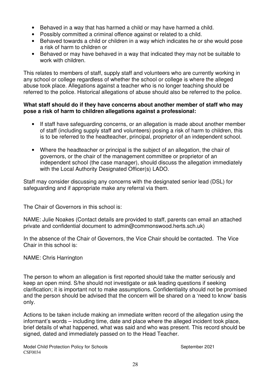- Behaved in a way that has harmed a child or may have harmed a child.
- Possibly committed a criminal offence against or related to a child.
- Behaved towards a child or children in a way which indicates he or she would pose a risk of harm to children or
- Behaved or may have behaved in a way that indicated they may not be suitable to work with children.

This relates to members of staff, supply staff and volunteers who are currently working in any school or college regardless of whether the school or college is where the alleged abuse took place. Allegations against a teacher who is no longer teaching should be referred to the police. Historical allegations of abuse should also be referred to the police.

#### **What staff should do if they have concerns about another member of staff who may pose a risk of harm to children allegations against a professional:**

- If staff have safeguarding concerns, or an allegation is made about another member of staff (including supply staff and volunteers) posing a risk of harm to children, this is to be referred to the headteacher, principal, proprietor of an independent school.
- Where the headteacher or principal is the subject of an allegation, the chair of governors, or the chair of the management committee or proprietor of an independent school (the case manager), should discuss the allegation immediately with the Local Authority Designated Officer(s) LADO.

Staff may consider discussing any concerns with the designated senior lead (DSL) for safeguarding and if appropriate make any referral via them.

The Chair of Governors in this school is:

NAME: Julie Noakes (Contact details are provided to staff, parents can email an attached private and confidential document to admin@commonswood.herts.sch.uk)

In the absence of the Chair of Governors, the Vice Chair should be contacted. The Vice Chair in this school is:

NAME: Chris Harrington

The person to whom an allegation is first reported should take the matter seriously and keep an open mind. S/he should not investigate or ask leading questions if seeking clarification; it is important not to make assumptions. Confidentiality should not be promised and the person should be advised that the concern will be shared on a 'need to know' basis only.

Actions to be taken include making an immediate written record of the allegation using the informant's words – including time, date and place where the alleged incident took place, brief details of what happened, what was said and who was present. This record should be signed, dated and immediately passed on to the Head Teacher.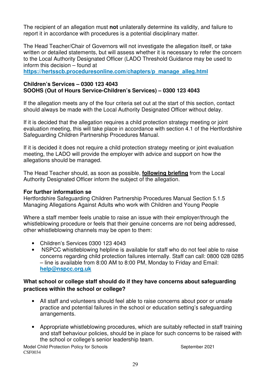The recipient of an allegation must **not** unilaterally determine its validity, and failure to report it in accordance with procedures is a potential disciplinary matter.

The Head Teacher/Chair of Governors will not investigate the allegation itself, or take written or detailed statements, but will assess whether it is necessary to refer the concern to the Local Authority Designated Officer (LADO Threshold Guidance may be used to inform this decision – found at

**https://hertsscb.proceduresonline.com/chapters/p\_manage\_alleg.html**

#### **Children's Services – 0300 123 4043 SOOHS (Out of Hours Service-Children's Services) – 0300 123 4043**

If the allegation meets any of the four criteria set out at the start of this section, contact should always be made with the Local Authority Designated Officer without delay.

If it is decided that the allegation requires a child protection strategy meeting or joint evaluation meeting, this will take place in accordance with section 4.1 of the Hertfordshire Safeguarding Children Partnership Procedures Manual.

If it is decided it does not require a child protection strategy meeting or joint evaluation meeting, the LADO will provide the employer with advice and support on how the allegations should be managed.

The Head Teacher should, as soon as possible, **following briefing** from the Local Authority Designated Officer inform the subject of the allegation.

#### **For further information se**

Hertfordshire Safeguarding Children Partnership Procedures Manual Section 5.1.5 Managing Allegations Against Adults who work with Children and Young People

Where a staff member feels unable to raise an issue with their employer/through the whistleblowing procedure or feels that their genuine concerns are not being addressed, other whistleblowing channels may be open to them:

- Children's Services 0300 123 4043
- NSPCC whistleblowing helpline is available for staff who do not feel able to raise concerns regarding child protection failures internally. Staff can call: 0800 028 0285 – line is available from 8:00 AM to 8:00 PM, Monday to Friday and Email: **help@nspcc.org.uk**

#### **What school or college staff should do if they have concerns about safeguarding practices within the school or college?**

- All staff and volunteers should feel able to raise concerns about poor or unsafe practice and potential failures in the school or education setting's safeguarding arrangements.
- Appropriate whistleblowing procedures, which are suitably reflected in staff training and staff behaviour policies, should be in place for such concerns to be raised with the school or college's senior leadership team.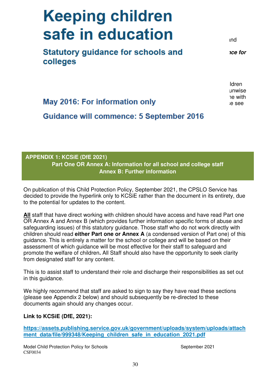# **Keeping children Safer I**  $T_{\text{max}}$  risk of all states and all states and practice and practice and practice and practice and practice and practice and problems and problems and problems and problems and problems and problems and problems and prob

should be familiar with the guidance contained in the staff handbook/school code of Statutory quidance for schools and  $ice for$ colleges **education settings (May 2019) and also Addendum April 2020** available at

 $\mathbf{B}$  is a positive positive behaviour management in line with  $\mathbf{B}$ the band of the band on corporation on the section of the Secondards and Framework Act 1998 is seen that International Standards and Framework Act 1998 is seen that is a secondary seen that International Standards and Plea

 $T$  document seeks to ensure that the responsibilities of school leaders towards children in  $\mathcal{A}$ and staff are discharged by raising and unwise, unwise, unwise, unwise,  $\alpha$ 

# **APPENDIX 1: KCSiE (DfE 2021) Part One OR Annex A: Information for all school and college staff Annex B: Further information**

On publication of this Child Protection Policy, September 2021, the CPSLO Service has decided to provide the hyperlink only to KCSiE rather than the document in its entirety, due to the potential for updates to the content.

**All** staff that have direct working with children should have access and have read Part one OR Annex A and Annex B (which provides further information specific forms of abuse and safeguarding issues) of this statutory guidance. Those staff who do not work directly with children should read **either Part one or Annex A** (a condensed version of Part one) of this guidance. This is entirely a matter for the school or college and will be based on their assessment of which guidance will be most effective for their staff to safeguard and promote the welfare of children**.** All Staff should also have the opportunity to seek clarity from designated staff for any content.

This is to assist staff to understand their role and discharge their responsibilities as set out in this guidance.

We highly recommend that staff are asked to sign to say they have read these sections (please see Appendix 2 below) and should subsequently be re-directed to these documents again should any changes occur.

#### **Link to KCSiE (DfE, 2021):**

**https://assets.publishing.service.gov.uk/government/uploads/system/uploads/attach** ment data/file/999348/Keeping children safe in education 2021.pdf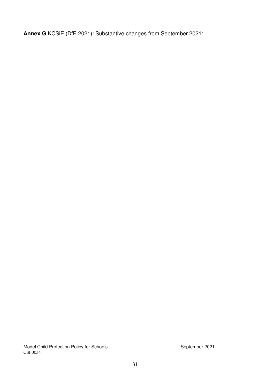**Annex G** KCSiE (DfE 2021): Substantive changes from September 2021:

Model Child Protection Policy for Schools **September 2021** September 2021 CSF0034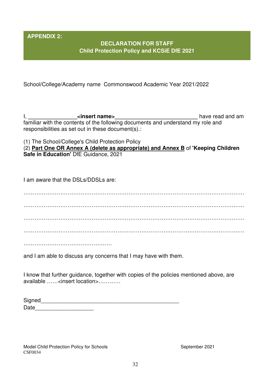**APPENDIX 2:** 

# **DECLARATION FOR STAFF Child Protection Policy and KCSiE DfE 2021**

School/College/Academy name Commonswood Academic Year 2021/2022

I, **\_\_\_\_\_\_\_\_\_\_\_\_\_\_\_\_<insert name>\_\_\_\_\_\_\_\_\_\_\_\_\_\_\_\_\_\_\_\_\_\_\_\_\_\_\_** have read and am familiar with the contents of the following documents and understand my role and responsibilities as set out in these document(s).:

(1) The School/College's Child Protection Policy

(2) **Part One OR Annex A (delete as appropriate) and Annex B** of **'Keeping Children Safe in Education'** DfE Guidance, 2021

I am aware that the DSLs/DDSLs are:

………………………………………………………………………………………………………… ………………………………………………………………………………………………………… ………………………………………………………………………………………………………… . The contract of the contract of the contract of the contract of the contract of the contract of the contract of the contract of the contract of the contract of the contract of the contract of the contract of the contrac

…………………………………………

and I am able to discuss any concerns that I may have with them.

I know that further guidance, together with copies of the policies mentioned above, are available ……<insert location>…………

| Signed |  |  |
|--------|--|--|
| Date   |  |  |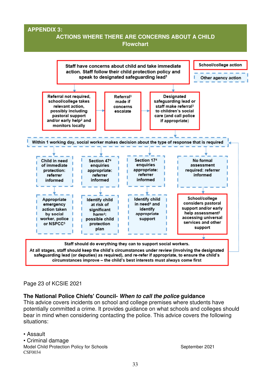#### **APPENDIX 3:**

# **ACTIONS WHERE THERE ARE CONCERNS ABOUT A CHILD Flowchart**



#### Page 23 of KCSIE 2021

#### **The National Police Chiefs' Council- When to call the police guidance**

This advice covers incidents on school and college premises where students have potentially committed a crime. It provides guidance on what schools and colleges should bear in mind when considering contacting the police. This advice covers the following situations:

Model Child Protection Policy for Schools September 2021 CSF0034 • Assault • Criminal damage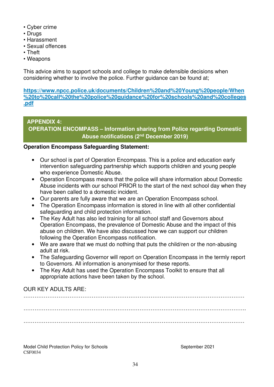- Cyber crime
- Drugs
- Harassment
- Sexual offences
- Theft
- Weapons

This advice aims to support schools and college to make defensible decisions when considering whether to involve the police. Further guidance can be found at;

**https://www.npcc.police.uk/documents/Children%20and%20Young%20people/When %20to%20call%20the%20police%20guidance%20for%20schools%20and%20colleges .pdf**

#### **APPENDIX 4: OPERATION ENCOMPASS – Information sharing from Police regarding Domestic Abuse notifications (2nd December 2019)**

#### **Operation Encompass Safeguarding Statement:**

- Our school is part of Operation Encompass. This is a police and education early intervention safeguarding partnership which supports children and young people who experience Domestic Abuse.
- Operation Encompass means that the police will share information about Domestic Abuse incidents with our school PRIOR to the start of the next school day when they have been called to a domestic incident.
- Our parents are fully aware that we are an Operation Encompass school.
- The Operation Encompass information is stored in line with all other confidential safeguarding and child protection information.
- The Key Adult has also led training for all school staff and Governors about Operation Encompass, the prevalence of Domestic Abuse and the impact of this abuse on children. We have also discussed how we can support our children following the Operation Encompass notification.
- We are aware that we must do nothing that puts the child/ren or the non-abusing adult at risk.
- The Safeguarding Governor will report on Operation Encompass in the termly report to Governors. All information is anonymised for these reports.
- The Key Adult has used the Operation Encompass Toolkit to ensure that all appropriate actions have been taken by the school.

# OUR KEY ADULTS ARE:

………………………………………………………………………………………………………… . The contract of the contract of the contract of the contract of the contract of the contract of the contract of the contract of the contract of the contract of the contract of the contract of the contract of the contrac …………………………………………………………………………………………………………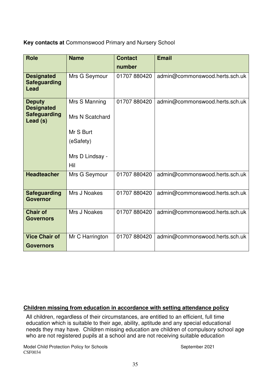**Key contacts at** Commonswood Primary and Nursery School

| <b>Role</b>                                                           | <b>Name</b>                      | <b>Contact</b> | <b>Email</b>                   |
|-----------------------------------------------------------------------|----------------------------------|----------------|--------------------------------|
|                                                                       |                                  | number         |                                |
| <b>Designated</b><br><b>Safeguarding</b><br>Lead                      | Mrs G Seymour                    | 01707 880420   | admin@commonswood.herts.sch.uk |
| <b>Deputy</b><br><b>Designated</b><br><b>Safeguarding</b><br>Lead (s) | Mrs S Manning<br>Mrs N Scatchard | 01707880420    | admin@commonswood.herts.sch.uk |
|                                                                       | Mr S Burt<br>(eSafety)           |                |                                |
|                                                                       | Mrs D Lindsay -<br>Hil           |                |                                |
| <b>Headteacher</b>                                                    | Mrs G Seymour                    | 01707 880420   | admin@commonswood.herts.sch.uk |
| <b>Safeguarding</b><br><b>Governor</b>                                | Mrs J Noakes                     | 01707 880420   | admin@commonswood.herts.sch.uk |
| <b>Chair of</b><br><b>Governors</b>                                   | Mrs J Noakes                     | 01707 880420   | admin@commonswood.herts.sch.uk |
| <b>Vice Chair of</b><br><b>Governors</b>                              | Mr C Harrington                  | 01707 880420   | admin@commonswood.herts.sch.uk |

#### **Children missing from education in accordance with setting attendance policy**

All children, regardless of their circumstances, are entitled to an efficient, full time education which is suitable to their age, ability, aptitude and any special educational needs they may have. Children missing education are children of compulsory school age who are not registered pupils at a school and are not receiving suitable education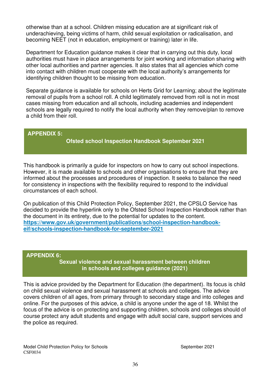otherwise than at a school. Children missing education are at significant risk of underachieving, being victims of harm, child sexual exploitation or radicalisation, and becoming NEET (not in education, employment or training) later in life.

Department for Education guidance makes it clear that in carrying out this duty, local authorities must have in place arrangements for joint working and information sharing with other local authorities and partner agencies. It also states that all agencies which come into contact with children must cooperate with the local authority's arrangements for identifying children thought to be missing from education.

Separate guidance is available for schools on Herts Grid for Learning; about the legitimate removal of pupils from a school roll. A child legitimately removed from roll is not in most cases missing from education and all schools, including academies and independent schools are legally required to notify the local authority when they remove/plan to remove a child from their roll.

#### **APPENDIX 5:**

#### **Ofsted school Inspection Handbook September 2021**

This handbook is primarily a guide for inspectors on how to carry out school inspections. However, it is made available to schools and other organisations to ensure that they are informed about the processes and procedures of inspection. It seeks to balance the need for consistency in inspections with the flexibility required to respond to the individual circumstances of each school.

On publication of this Child Protection Policy, September 2021, the CPSLO Service has decided to provide the hyperlink only to the Ofsted School Inspection Handbook rather than the document in its entirety, due to the potential for updates to the content. **https://www.gov.uk/government/publications/school-inspection-handbookeif/schools-inspection-handbook-for-september-2021** 

#### **APPENDIX 6:**

**Sexual violence and sexual harassment between children in schools and colleges guidance (2021)**

This is advice provided by the Department for Education (the department). Its focus is child on child sexual violence and sexual harassment at schools and colleges. The advice covers children of all ages, from primary through to secondary stage and into colleges and online. For the purposes of this advice, a child is anyone under the age of 18. Whilst the focus of the advice is on protecting and supporting children, schools and colleges should of course protect any adult students and engage with adult social care, support services and the police as required.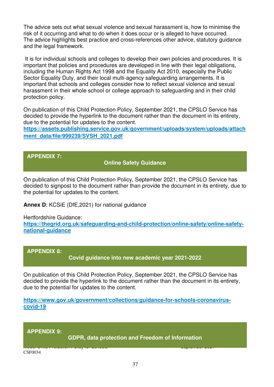The advice sets out what sexual violence and sexual harassment is, how to minimise the risk of it occurring and what to do when it does occur or is alleged to have occurred. The advice highlights best practice and cross-references other advice, statutory guidance and the legal framework.

 It is for individual schools and colleges to develop their own policies and procedures. It is important that policies and procedures are developed in line with their legal obligations, including the Human Rights Act 1998 and the Equality Act 2010, especially the Public Sector Equality Duty, and their local multi-agency safeguarding arrangements. It is important that schools and colleges consider how to reflect sexual violence and sexual harassment in their whole school or college approach to safeguarding and in their child protection policy.

On publication of this Child Protection Policy, September 2021, the CPSLO Service has decided to provide the hyperlink to the document rather than the document in its entirety, due to the potential for updates to the content.

**https://assets.publishing.service.gov.uk/government/uploads/system/uploads/attach ment\_data/file/999239/SVSH\_2021.pdf**

**APPENDIX 7:** 

**Online Safety Guidance** 

On publication of this Child Protection Policy, September 2021, the CPSLO Service has decided to signpost to the document rather than provide the document in its entirety, due to the potential for updates to the content.

**Annex D**: KCSiE (DfE,2021) for national guidance

Hertfordshire Guidance:

https://thegrid.org.uk/safeguarding-and-child-protection/online-safety/online-safety**national-guidance**

**APPENDIX 8:** 

**Covid guidance into new academic year 2021-2022** 

On publication of this Child Protection Policy, September 2021, the CPSLO Service has decided to provide the hyperlink to the document rather than the document in its entirety, due to the potential for updates to the content.

**https://www.gov.uk/government/collections/guidance-for-schools-coronaviruscovid-19**

Model Child Protection Policy for Schools September 2021

**APPENDIX 9:** 

**GDPR, data protection and Freedom of Information** 

CSF0034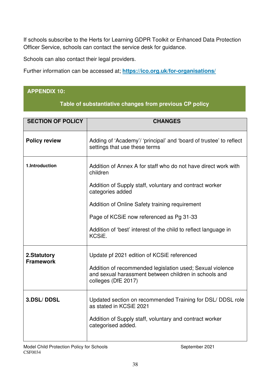If schools subscribe to the Herts for Learning GDPR Toolkit or Enhanced Data Protection Officer Service, schools can contact the service desk for guidance.

Schools can also contact their legal providers.

Further information can be accessed at; **https://ico.org.uk/for-organisations/**

# **APPENDIX 10:**

#### **Table of substantiative changes from previous CP policy**

| <b>SECTION OF POLICY</b>        | <b>CHANGES</b>                                                                                                                            |
|---------------------------------|-------------------------------------------------------------------------------------------------------------------------------------------|
| <b>Policy review</b>            | Adding of 'Academy'/ 'principal' and 'board of trustee' to reflect<br>settings that use these terms                                       |
| 1.Introduction                  | Addition of Annex A for staff who do not have direct work with<br>children                                                                |
|                                 | Addition of Supply staff, voluntary and contract worker<br>categories added                                                               |
|                                 | Addition of Online Safety training requirement                                                                                            |
|                                 | Page of KCSiE now referenced as Pg 31-33                                                                                                  |
|                                 | Addition of 'best' interest of the child to reflect language in<br>KCSiE.                                                                 |
| 2.Statutory<br><b>Framework</b> | Update pf 2021 edition of KCSiE referenced                                                                                                |
|                                 | Addition of recommended legislation used; Sexual violence<br>and sexual harassment between children in schools and<br>colleges (DfE 2017) |
| 3.DSL/DDSL                      | Updated section on recommended Training for DSL/DDSL role<br>as stated in KCSiE 2021                                                      |
|                                 | Addition of Supply staff, voluntary and contract worker<br>categorised added.                                                             |
|                                 |                                                                                                                                           |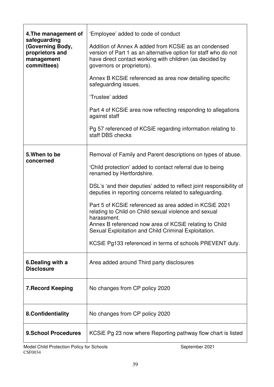| 4. The management of<br>safeguarding<br>(Governing Body,<br>proprietors and<br>management<br>committees) | 'Employee' added to code of conduct<br>Addition of Annex A added from KCSIE as an condensed<br>version of Part 1 as an alternative option for staff who do not<br>have direct contact working with children (as decided by<br>governors or proprietors).                                                                                                                                                                                                                                                                                                                                                 |
|----------------------------------------------------------------------------------------------------------|----------------------------------------------------------------------------------------------------------------------------------------------------------------------------------------------------------------------------------------------------------------------------------------------------------------------------------------------------------------------------------------------------------------------------------------------------------------------------------------------------------------------------------------------------------------------------------------------------------|
|                                                                                                          | Annex B KCSIE referenced as area now detailing specific<br>safeguarding issues.<br>'Trustee' added<br>Part 4 of KCSiE area now reflecting responding to allegations<br>against staff                                                                                                                                                                                                                                                                                                                                                                                                                     |
|                                                                                                          | Pg 57 referenced of KCSiE regarding information relating to<br>staff DBS checks                                                                                                                                                                                                                                                                                                                                                                                                                                                                                                                          |
| 5. When to be<br>concerned                                                                               | Removal of Family and Parent descriptions on types of abuse.<br>'Child protection' added to contact referral due to being<br>renamed by Hertfordshire.<br>DSL's 'and their deputies' added to reflect joint responsibility of<br>deputies in reporting concerns related to safeguarding.<br>Part 5 of KCSIE referenced as area added in KCSIE 2021<br>relating to Child on Child sexual violence and sexual<br>harassment.<br>Annex B referenced now area of KCSiE relating to Child<br>Sexual Exploitation and Child Criminal Exploitation.<br>KCSIE Pg133 referenced in terms of schools PREVENT duty. |
| 6. Dealing with a<br><b>Disclosure</b>                                                                   | Area added around Third party disclosures                                                                                                                                                                                                                                                                                                                                                                                                                                                                                                                                                                |
| <b>7. Record Keeping</b>                                                                                 | No changes from CP policy 2020                                                                                                                                                                                                                                                                                                                                                                                                                                                                                                                                                                           |
| 8.Confidentiality                                                                                        | No changes from CP policy 2020                                                                                                                                                                                                                                                                                                                                                                                                                                                                                                                                                                           |
| <b>9.School Procedures</b>                                                                               | KCSIE Pg 23 now where Reporting pathway flow chart is listed                                                                                                                                                                                                                                                                                                                                                                                                                                                                                                                                             |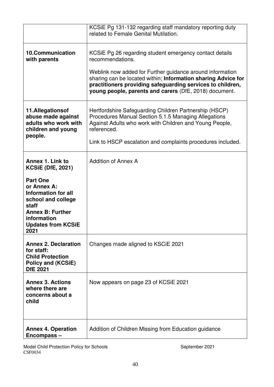|                                                                                                                                                                     | KCSIE Pg 131-132 regarding staff mandatory reporting duty<br>related to Female Genital Mutilation.                                                                                                                                                 |
|---------------------------------------------------------------------------------------------------------------------------------------------------------------------|----------------------------------------------------------------------------------------------------------------------------------------------------------------------------------------------------------------------------------------------------|
| <b>10.Communication</b><br>with parents                                                                                                                             | KCSIE Pg 26 regarding student emergency contact details<br>recommendations.                                                                                                                                                                        |
|                                                                                                                                                                     | Weblink now added for Further guidance around information<br>sharing can be located within; Information sharing Advice for<br>practitioners providing safeguarding services to children,<br>young people, parents and carers (DfE, 2018) document. |
| 11.Allegationsof<br>abuse made against<br>adults who work with<br>children and young                                                                                | Hertfordshire Safeguarding Children Partnership (HSCP)<br>Procedures Manual Section 5.1.5 Managing Allegations<br>Against Adults who work with Children and Young People,<br>referenced.                                                           |
| people.                                                                                                                                                             | Link to HSCP escalation and complaints procedures included.                                                                                                                                                                                        |
| Annex 1. Link to<br><b>KCSiE (DfE, 2021)</b>                                                                                                                        | <b>Addition of Annex A</b>                                                                                                                                                                                                                         |
| <b>Part One</b><br>or Annex A:<br>Information for all<br>school and college<br>staff<br><b>Annex B: Further</b><br>information<br><b>Updates from KCSiE</b><br>2021 |                                                                                                                                                                                                                                                    |
| <b>Annex 2. Declaration</b><br>for staff:<br><b>Child Protection</b><br>Policy and (KCSiE)<br><b>DfE 2021</b>                                                       | Changes made aligned to KSCIE 2021                                                                                                                                                                                                                 |
| <b>Annex 3. Actions</b><br>where there are<br>concerns about a<br>child                                                                                             | Now appears on page 23 of KCSIE 2021                                                                                                                                                                                                               |
| <b>Annex 4. Operation</b><br>Encompass-                                                                                                                             | Addition of Children Missing from Education guidance                                                                                                                                                                                               |

Model Child Protection Policy for Schools **September 2021** September 2021 CSF0034